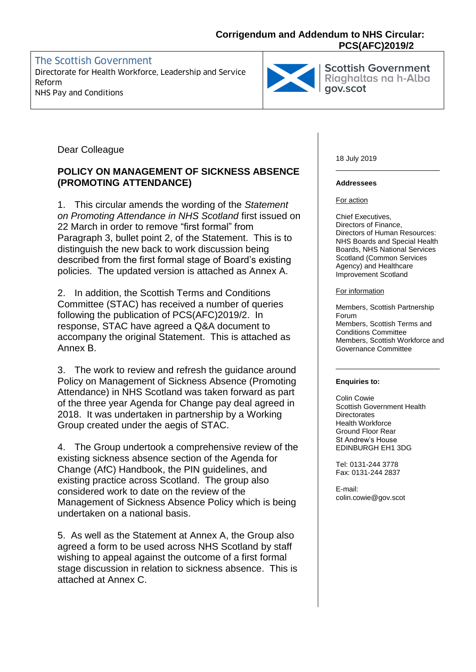# **Corrigendum and Addendum to NHS Circular: PCS(AFC)2019/2**

# The Scottish Government Directorate for Health Workforce, Leadership and Service Reform Ridghaltas Ridghaltas NHS Pay and Conditions Reform



Scottish Government<br>Riaghaltas na h-Alba

Dear Colleague

# **POLICY ON MANAGEMENT OF SICKNESS ABSENCE (PROMOTING ATTENDANCE)**

1. This circular amends the wording of the *Statement on Promoting Attendance in NHS Scotland* first issued on 22 March in order to remove "first formal" from Paragraph 3, bullet point 2, of the Statement. This is to distinguish the new back to work discussion being described from the first formal stage of Board's existing policies. The updated version is attached as Annex A.

2. In addition, the Scottish Terms and Conditions Committee (STAC) has received a number of queries following the publication of PCS(AFC)2019/2. In response, STAC have agreed a Q&A document to accompany the original Statement. This is attached as Annex B.

3. The work to review and refresh the guidance around Policy on Management of Sickness Absence (Promoting Attendance) in NHS Scotland was taken forward as part of the three year Agenda for Change pay deal agreed in 2018. It was undertaken in partnership by a Working Group created under the aegis of STAC.

4. The Group undertook a comprehensive review of the existing sickness absence section of the Agenda for Change (AfC) Handbook, the PIN guidelines, and existing practice across Scotland. The group also considered work to date on the review of the Management of Sickness Absence Policy which is being undertaken on a national basis.

5. As well as the Statement at Annex A, the Group also agreed a form to be used across NHS Scotland by staff wishing to appeal against the outcome of a first formal stage discussion in relation to sickness absence. This is attached at Annex C.

18 July 2019

#### **Addressees**

For action

Chief Executives, Directors of Finance, Directors of Human Resources: NHS Boards and Special Health Boards, NHS National Services Scotland (Common Services Agency) and Healthcare Improvement Scotland

\_\_\_\_\_\_\_\_\_\_\_\_\_\_\_\_\_\_\_\_\_\_\_\_\_\_

For information

Members, Scottish Partnership Forum Members, Scottish Terms and Conditions Committee Members, Scottish Workforce and Governance Committee

\_\_\_\_\_\_\_\_\_\_\_\_\_\_\_\_\_\_\_\_\_\_\_\_\_\_

#### **Enquiries to:**

Colin Cowie Scottish Government Health **Directorates** Health Workforce Ground Floor Rear St Andrew's House EDINBURGH EH1 3DG

Tel: 0131-244 3778 Fax: 0131-244 2837

E-mail: colin.cowie@gov.scot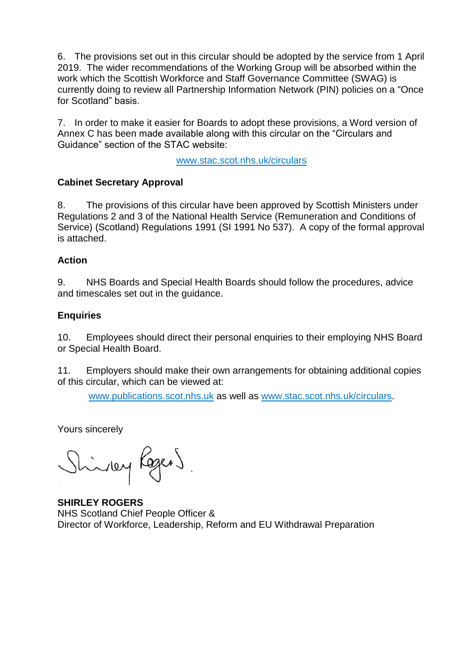6. The provisions set out in this circular should be adopted by the service from 1 April 2019. The wider recommendations of the Working Group will be absorbed within the work which the Scottish Workforce and Staff Governance Committee (SWAG) is currently doing to review all Partnership Information Network (PIN) policies on a "Once for Scotland" basis.

7. In order to make it easier for Boards to adopt these provisions, a Word version of Annex C has been made available along with this circular on the "Circulars and Guidance" section of the STAC website:

[www.stac.scot.nhs.uk/circulars](http://www.stac.scot.nhs.uk/circulars)

# **Cabinet Secretary Approval**

8. The provisions of this circular have been approved by Scottish Ministers under Regulations 2 and 3 of the National Health Service (Remuneration and Conditions of Service) (Scotland) Regulations 1991 (SI 1991 No 537). A copy of the formal approval is attached.

# **Action**

9. NHS Boards and Special Health Boards should follow the procedures, advice and timescales set out in the guidance.

# **Enquiries**

10. Employees should direct their personal enquiries to their employing NHS Board or Special Health Board.

11. Employers should make their own arrangements for obtaining additional copies of this circular, which can be viewed at:

[www.publications.scot.nhs.uk](http://www.publications.scot.nhs.uk/) as well as [www.stac.scot.nhs.uk/circulars.](http://www.stac.scot.nhs.uk/circulars)

Yours sincerely

Shinky Rogers

**SHIRLEY ROGERS** NHS Scotland Chief People Officer & Director of Workforce, Leadership, Reform and EU Withdrawal Preparation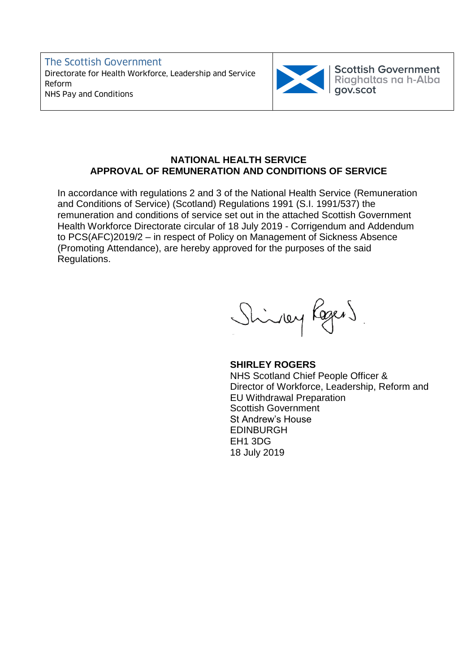The Scottish Government Directorate for Health Workforce, Leadership and Service Reform Ridghaltas Reform NHS Pay and Conditions Reform



Scottish Government<br>Riaghaltas na h-Alba<br>gov.scot

## **NATIONAL HEALTH SERVICE APPROVAL OF REMUNERATION AND CONDITIONS OF SERVICE**

In accordance with regulations 2 and 3 of the National Health Service (Remuneration and Conditions of Service) (Scotland) Regulations 1991 (S.I. 1991/537) the remuneration and conditions of service set out in the attached Scottish Government Health Workforce Directorate circular of 18 July 2019 - Corrigendum and Addendum to PCS(AFC)2019/2 – in respect of Policy on Management of Sickness Absence (Promoting Attendance), are hereby approved for the purposes of the said Regulations.

Shiney Regens

## **SHIRLEY ROGERS**

NHS Scotland Chief People Officer & Director of Workforce, Leadership, Reform and EU Withdrawal Preparation Scottish Government St Andrew's House EDINBURGH EH1 3DG 18 July 2019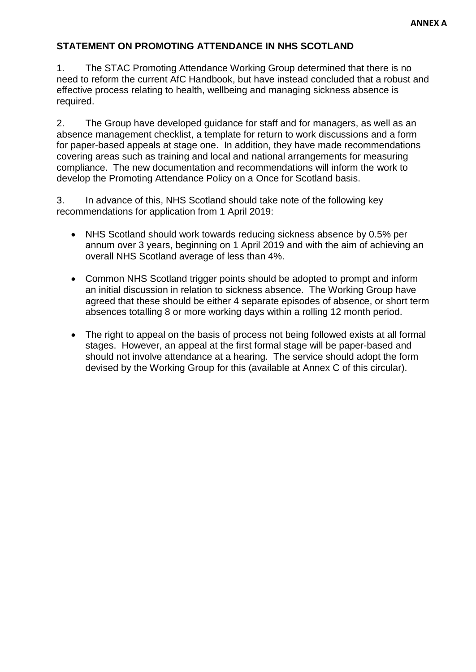# **STATEMENT ON PROMOTING ATTENDANCE IN NHS SCOTLAND**

1. The STAC Promoting Attendance Working Group determined that there is no need to reform the current AfC Handbook, but have instead concluded that a robust and effective process relating to health, wellbeing and managing sickness absence is required.

2. The Group have developed guidance for staff and for managers, as well as an absence management checklist, a template for return to work discussions and a form for paper-based appeals at stage one. In addition, they have made recommendations covering areas such as training and local and national arrangements for measuring compliance. The new documentation and recommendations will inform the work to develop the Promoting Attendance Policy on a Once for Scotland basis.

3. In advance of this, NHS Scotland should take note of the following key recommendations for application from 1 April 2019:

- NHS Scotland should work towards reducing sickness absence by 0.5% per annum over 3 years, beginning on 1 April 2019 and with the aim of achieving an overall NHS Scotland average of less than 4%.
- Common NHS Scotland trigger points should be adopted to prompt and inform an initial discussion in relation to sickness absence. The Working Group have agreed that these should be either 4 separate episodes of absence, or short term absences totalling 8 or more working days within a rolling 12 month period.
- The right to appeal on the basis of process not being followed exists at all formal stages. However, an appeal at the first formal stage will be paper-based and should not involve attendance at a hearing. The service should adopt the form devised by the Working Group for this (available at Annex C of this circular).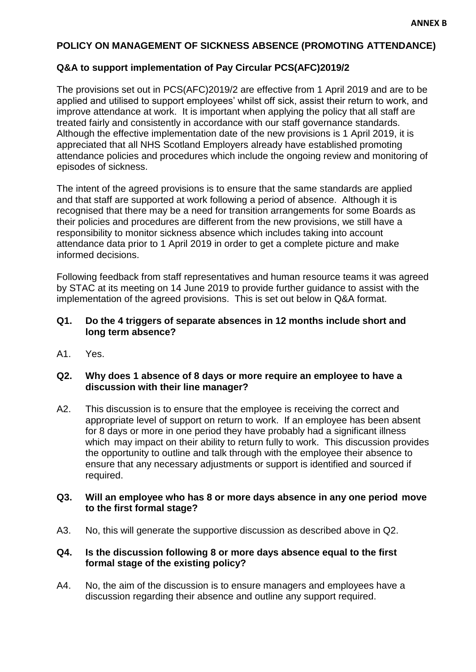# **POLICY ON MANAGEMENT OF SICKNESS ABSENCE (PROMOTING ATTENDANCE)**

#### **Q&A to support implementation of Pay Circular PCS(AFC)2019/2**

The provisions set out in PCS(AFC)2019/2 are effective from 1 April 2019 and are to be applied and utilised to support employees' whilst off sick, assist their return to work, and improve attendance at work. It is important when applying the policy that all staff are treated fairly and consistently in accordance with our staff governance standards. Although the effective implementation date of the new provisions is 1 April 2019, it is appreciated that all NHS Scotland Employers already have established promoting attendance policies and procedures which include the ongoing review and monitoring of episodes of sickness.

The intent of the agreed provisions is to ensure that the same standards are applied and that staff are supported at work following a period of absence. Although it is recognised that there may be a need for transition arrangements for some Boards as their policies and procedures are different from the new provisions, we still have a responsibility to monitor sickness absence which includes taking into account attendance data prior to 1 April 2019 in order to get a complete picture and make informed decisions.

Following feedback from staff representatives and human resource teams it was agreed by STAC at its meeting on 14 June 2019 to provide further guidance to assist with the implementation of the agreed provisions. This is set out below in Q&A format.

#### **Q1. Do the 4 triggers of separate absences in 12 months include short and long term absence?**

A1. Yes.

#### **Q2. Why does 1 absence of 8 days or more require an employee to have a discussion with their line manager?**

A2. This discussion is to ensure that the employee is receiving the correct and appropriate level of support on return to work. If an employee has been absent for 8 days or more in one period they have probably had a significant illness which may impact on their ability to return fully to work. This discussion provides the opportunity to outline and talk through with the employee their absence to ensure that any necessary adjustments or support is identified and sourced if required.

#### **Q3. Will an employee who has 8 or more days absence in any one period move to the first formal stage?**

A3. No, this will generate the supportive discussion as described above in Q2.

#### **Q4. Is the discussion following 8 or more days absence equal to the first formal stage of the existing policy?**

A4. No, the aim of the discussion is to ensure managers and employees have a discussion regarding their absence and outline any support required.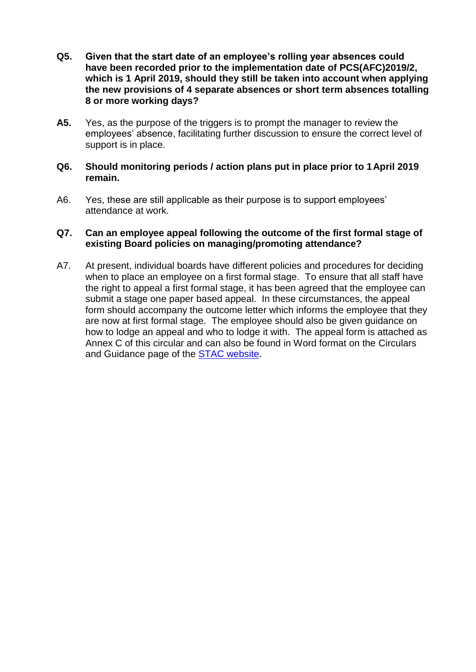- **Q5. Given that the start date of an employee's rolling year absences could have been recorded prior to the implementation date of PCS(AFC)2019/2, which is 1 April 2019, should they still be taken into account when applying the new provisions of 4 separate absences or short term absences totalling 8 or more working days?**
- **A5.** Yes, as the purpose of the triggers is to prompt the manager to review the employees' absence, facilitating further discussion to ensure the correct level of support is in place.
- **Q6. Should monitoring periods / action plans put in place prior to 1April 2019 remain.**
- A6. Yes, these are still applicable as their purpose is to support employees' attendance at work.

#### **Q7. Can an employee appeal following the outcome of the first formal stage of existing Board policies on managing/promoting attendance?**

A7. At present, individual boards have different policies and procedures for deciding when to place an employee on a first formal stage. To ensure that all staff have the right to appeal a first formal stage, it has been agreed that the employee can submit a stage one paper based appeal. In these circumstances, the appeal form should accompany the outcome letter which informs the employee that they are now at first formal stage. The employee should also be given guidance on how to lodge an appeal and who to lodge it with. The appeal form is attached as Annex C of this circular and can also be found in Word format on the Circulars and Guidance page of the [STAC website.](https://www.stac.scot.nhs.uk/circulars)